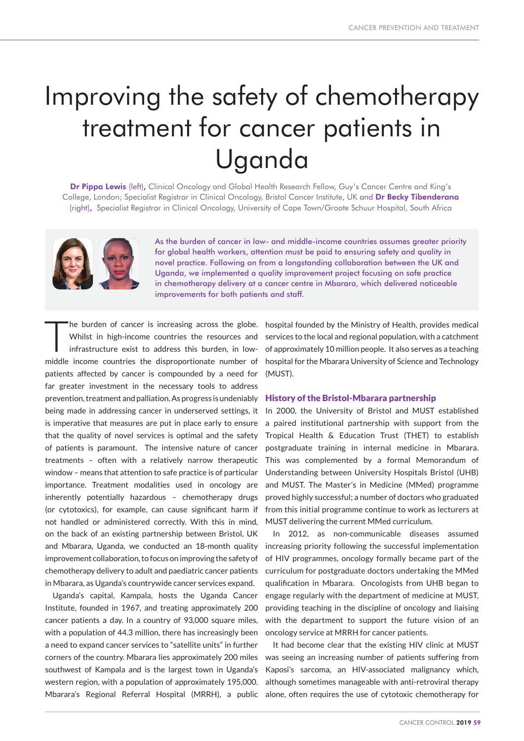# Improving the safety of chemotherapy treatment for cancer patients in Uganda

Dr Pippa Lewis (left), Clinical Oncology and Global Health Research Fellow, Guy's Cancer Centre and King's College, London; Specialist Registrar in Clinical Oncology, Bristol Cancer Institute, UK and Dr Becky Tibenderana (right), Specialist Registrar in Clinical Oncology, University of Cape Town/Groote Schuur Hospital, South Africa



As the burden of cancer in low- and middle-income countries assumes greater priority for global health workers, attention must be paid to ensuring safety and quality in novel practice. Following on from a longstanding collaboration between the UK and Uganda, we implemented a quality improvement project focusing on safe practice in chemotherapy delivery at a cancer centre in Mbarara, which delivered noticeable improvements for both patients and staff.

The burden of cancer is increasing across the globe.<br>
Whilst in high-income countries the resources and<br>
infrastructure exist to address this burden, in low-Whilst in high-income countries the resources and middle income countries the disproportionate number of patients affected by cancer is compounded by a need for far greater investment in the necessary tools to address prevention, treatment and palliation. As progress is undeniably being made in addressing cancer in underserved settings, it is imperative that measures are put in place early to ensure that the quality of novel services is optimal and the safety of patients is paramount. The intensive nature of cancer treatments – often with a relatively narrow therapeutic window – means that attention to safe practice is of particular importance. Treatment modalities used in oncology are inherently potentially hazardous – chemotherapy drugs (or cytotoxics), for example, can cause significant harm if not handled or administered correctly. With this in mind, on the back of an existing partnership between Bristol, UK and Mbarara, Uganda, we conducted an 18-month quality improvement collaboration, to focus on improving the safety of chemotherapy delivery to adult and paediatric cancer patients in Mbarara, as Uganda's countrywide cancer services expand.

Uganda's capital, Kampala, hosts the Uganda Cancer Institute, founded in 1967, and treating approximately 200 cancer patients a day. In a country of 93,000 square miles, with a population of 44.3 million, there has increasingly been a need to expand cancer services to "satellite units" in further corners of the country. Mbarara lies approximately 200 miles southwest of Kampala and is the largest town in Uganda's western region, with a population of approximately 195,000. Mbarara's Regional Referral Hospital (MRRH), a public

hospital founded by the Ministry of Health, provides medical services to the local and regional population, with a catchment of approximately 10 million people. It also serves as a teaching hospital for the Mbarara University of Science and Technology (MUST).

#### History of the Bristol-Mbarara partnership

In 2000, the University of Bristol and MUST established a paired institutional partnership with support from the Tropical Health & Education Trust (THET) to establish postgraduate training in internal medicine in Mbarara. This was complemented by a formal Memorandum of Understanding between University Hospitals Bristol (UHB) and MUST. The Master's in Medicine (MMed) programme proved highly successful; a number of doctors who graduated from this initial programme continue to work as lecturers at MUST delivering the current MMed curriculum.

In 2012, as non-communicable diseases assumed increasing priority following the successful implementation of HIV programmes, oncology formally became part of the curriculum for postgraduate doctors undertaking the MMed qualification in Mbarara. Oncologists from UHB began to engage regularly with the department of medicine at MUST, providing teaching in the discipline of oncology and liaising with the department to support the future vision of an oncology service at MRRH for cancer patients.

It had become clear that the existing HIV clinic at MUST was seeing an increasing number of patients suffering from Kaposi's sarcoma, an HIV-associated malignancy which, although sometimes manageable with anti-retroviral therapy alone, often requires the use of cytotoxic chemotherapy for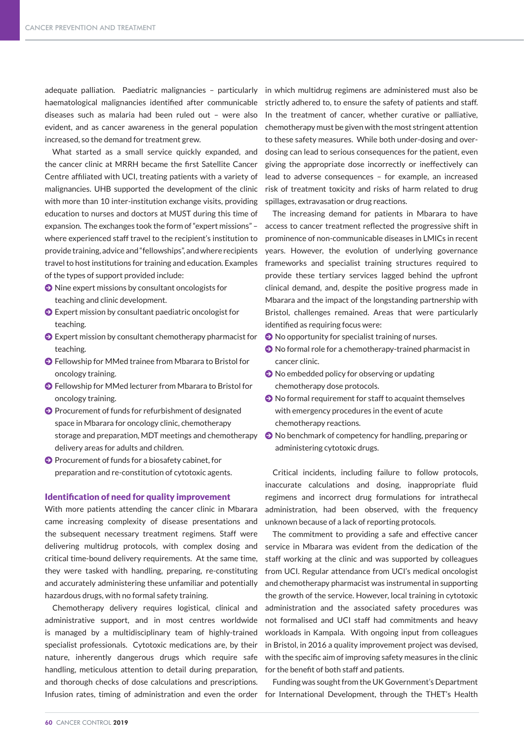adequate palliation. Paediatric malignancies – particularly in which multidrug regimens are administered must also be haematological malignancies identified after communicable diseases such as malaria had been ruled out – were also evident, and as cancer awareness in the general population increased, so the demand for treatment grew.

What started as a small service quickly expanded, and the cancer clinic at MRRH became the first Satellite Cancer Centre affiliated with UCI, treating patients with a variety of malignancies. UHB supported the development of the clinic with more than 10 inter-institution exchange visits, providing education to nurses and doctors at MUST during this time of expansion. The exchanges took the form of "expert missions" – where experienced staff travel to the recipient's institution to provide training, advice and "fellowships", and where recipients travel to host institutions for training and education. Examples of the types of support provided include:

- $\bullet$  Nine expert missions by consultant oncologists for teaching and clinic development.
- $\bigodot$  Expert mission by consultant paediatric oncologist for teaching.
- J Expert mission by consultant chemotherapy pharmacist for teaching.
- **●** Fellowship for MMed trainee from Mbarara to Bristol for oncology training.
- J Fellowship for MMed lecturer from Mbarara to Bristol for oncology training.
- $\bullet$  Procurement of funds for refurbishment of designated space in Mbarara for oncology clinic, chemotherapy storage and preparation, MDT meetings and chemotherapy delivery areas for adults and children.
- $\bullet$  Procurement of funds for a biosafety cabinet, for preparation and re-constitution of cytotoxic agents.

### Identification of need for quality improvement

With more patients attending the cancer clinic in Mbarara came increasing complexity of disease presentations and the subsequent necessary treatment regimens. Staff were delivering multidrug protocols, with complex dosing and critical time-bound delivery requirements. At the same time, they were tasked with handling, preparing, re-constituting and accurately administering these unfamiliar and potentially hazardous drugs, with no formal safety training.

Chemotherapy delivery requires logistical, clinical and administrative support, and in most centres worldwide is managed by a multidisciplinary team of highly-trained specialist professionals. Cytotoxic medications are, by their nature, inherently dangerous drugs which require safe handling, meticulous attention to detail during preparation, and thorough checks of dose calculations and prescriptions.

strictly adhered to, to ensure the safety of patients and staff. In the treatment of cancer, whether curative or palliative, chemotherapy must be given with the most stringent attention to these safety measures. While both under-dosing and overdosing can lead to serious consequences for the patient, even giving the appropriate dose incorrectly or ineffectively can lead to adverse consequences – for example, an increased risk of treatment toxicity and risks of harm related to drug spillages, extravasation or drug reactions.

The increasing demand for patients in Mbarara to have access to cancer treatment reflected the progressive shift in prominence of non-communicable diseases in LMICs in recent years. However, the evolution of underlying governance frameworks and specialist training structures required to provide these tertiary services lagged behind the upfront clinical demand, and, despite the positive progress made in Mbarara and the impact of the longstanding partnership with Bristol, challenges remained. Areas that were particularly identified as requiring focus were:

- $\bullet$  No opportunity for specialist training of nurses.
- $\bullet$  No formal role for a chemotherapy-trained pharmacist in cancer clinic.
- $\bullet$  No embedded policy for observing or updating chemotherapy dose protocols.
- $\bullet$  No formal requirement for staff to acquaint themselves with emergency procedures in the event of acute chemotherapy reactions.
- $\Theta$  No benchmark of competency for handling, preparing or administering cytotoxic drugs.

Critical incidents, including failure to follow protocols, inaccurate calculations and dosing, inappropriate fluid regimens and incorrect drug formulations for intrathecal administration, had been observed, with the frequency unknown because of a lack of reporting protocols.

The commitment to providing a safe and effective cancer service in Mbarara was evident from the dedication of the staff working at the clinic and was supported by colleagues from UCI. Regular attendance from UCI's medical oncologist and chemotherapy pharmacist was instrumental in supporting the growth of the service. However, local training in cytotoxic administration and the associated safety procedures was not formalised and UCI staff had commitments and heavy workloads in Kampala. With ongoing input from colleagues in Bristol, in 2016 a quality improvement project was devised, with the specific aim of improving safety measures in the clinic for the benefit of both staff and patients.

Infusion rates, timing of administration and even the order for International Development, through the THET's Health Funding was sought from the UK Government's Department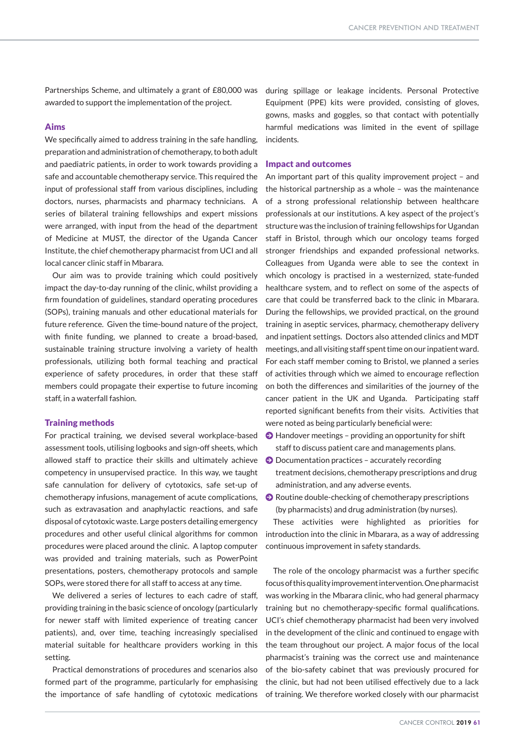Partnerships Scheme, and ultimately a grant of £80,000 was awarded to support the implementation of the project.

### Aims

We specifically aimed to address training in the safe handling, preparation and administration of chemotherapy, to both adult and paediatric patients, in order to work towards providing a safe and accountable chemotherapy service. This required the input of professional staff from various disciplines, including doctors, nurses, pharmacists and pharmacy technicians. A series of bilateral training fellowships and expert missions were arranged, with input from the head of the department of Medicine at MUST, the director of the Uganda Cancer Institute, the chief chemotherapy pharmacist from UCI and all local cancer clinic staff in Mbarara.

Our aim was to provide training which could positively impact the day-to-day running of the clinic, whilst providing a firm foundation of guidelines, standard operating procedures (SOPs), training manuals and other educational materials for future reference. Given the time-bound nature of the project, with finite funding, we planned to create a broad-based, sustainable training structure involving a variety of health professionals, utilizing both formal teaching and practical experience of safety procedures, in order that these staff members could propagate their expertise to future incoming staff, in a waterfall fashion.

## Training methods

For practical training, we devised several workplace-based assessment tools, utilising logbooks and sign-off sheets, which allowed staff to practice their skills and ultimately achieve competency in unsupervised practice. In this way, we taught safe cannulation for delivery of cytotoxics, safe set-up of chemotherapy infusions, management of acute complications, such as extravasation and anaphylactic reactions, and safe disposal of cytotoxic waste. Large posters detailing emergency procedures and other useful clinical algorithms for common procedures were placed around the clinic. A laptop computer was provided and training materials, such as PowerPoint presentations, posters, chemotherapy protocols and sample SOPs, were stored there for all staff to access at any time.

We delivered a series of lectures to each cadre of staff. providing training in the basic science of oncology (particularly for newer staff with limited experience of treating cancer patients), and, over time, teaching increasingly specialised material suitable for healthcare providers working in this setting.

Practical demonstrations of procedures and scenarios also formed part of the programme, particularly for emphasising the importance of safe handling of cytotoxic medications

during spillage or leakage incidents. Personal Protective Equipment (PPE) kits were provided, consisting of gloves, gowns, masks and goggles, so that contact with potentially harmful medications was limited in the event of spillage incidents.

#### Impact and outcomes

An important part of this quality improvement project – and the historical partnership as a whole – was the maintenance of a strong professional relationship between healthcare professionals at our institutions. A key aspect of the project's structure was the inclusion of training fellowships for Ugandan staff in Bristol, through which our oncology teams forged stronger friendships and expanded professional networks. Colleagues from Uganda were able to see the context in which oncology is practised in a westernized, state-funded healthcare system, and to reflect on some of the aspects of care that could be transferred back to the clinic in Mbarara. During the fellowships, we provided practical, on the ground training in aseptic services, pharmacy, chemotherapy delivery and inpatient settings. Doctors also attended clinics and MDT meetings, and all visiting staff spent time on our inpatient ward. For each staff member coming to Bristol, we planned a series of activities through which we aimed to encourage reflection on both the differences and similarities of the journey of the cancer patient in the UK and Uganda. Participating staff reported significant benefits from their visits. Activities that were noted as being particularly beneficial were:

- $\odot$  Handover meetings providing an opportunity for shift staff to discuss patient care and managements plans.
- $\bigcirc$  Documentation practices accurately recording treatment decisions, chemotherapy prescriptions and drug administration, and any adverse events.
- $\Theta$  Routine double-checking of chemotherapy prescriptions (by pharmacists) and drug administration (by nurses).

These activities were highlighted as priorities for introduction into the clinic in Mbarara, as a way of addressing continuous improvement in safety standards.

The role of the oncology pharmacist was a further specific focus of this quality improvement intervention. One pharmacist was working in the Mbarara clinic, who had general pharmacy training but no chemotherapy-specific formal qualifications. UCI's chief chemotherapy pharmacist had been very involved in the development of the clinic and continued to engage with the team throughout our project. A major focus of the local pharmacist's training was the correct use and maintenance of the bio-safety cabinet that was previously procured for the clinic, but had not been utilised effectively due to a lack of training. We therefore worked closely with our pharmacist